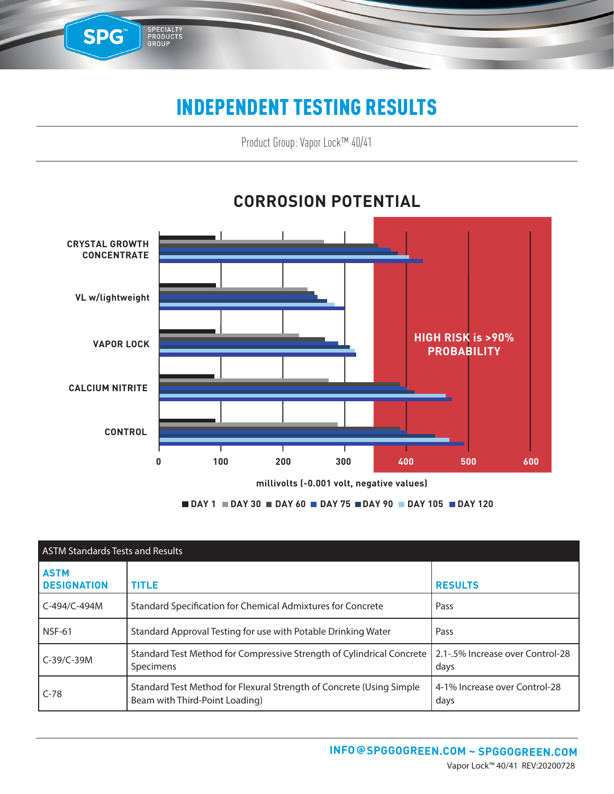## INDEPENDENT TESTING RESULTS

SPG™

SPECIALTY<br>PRODUCTS<br>GROUP

Product Group: Vapor Lock™ 40/41



#### **CORROSION POTENTIAL**

**DAY 1 DAY 30 DAY 60 DAY 75 DAY 90 DAY 105 DAY 120**

| <b>ASTM Standards Tests and Results</b> |                                                                                                        |                                          |  |  |  |
|-----------------------------------------|--------------------------------------------------------------------------------------------------------|------------------------------------------|--|--|--|
| <b>ASTM</b><br><b>DESIGNATION</b>       | <b>TITLE</b>                                                                                           | <b>RESULTS</b>                           |  |  |  |
| C-494/C-494M                            | Standard Specification for Chemical Admixtures for Concrete                                            | Pass                                     |  |  |  |
| <b>NSF-61</b>                           | Standard Approval Testing for use with Potable Drinking Water                                          | Pass                                     |  |  |  |
| $C-39/C-39M$                            | Standard Test Method for Compressive Strength of Cylindrical Concrete<br>Specimens                     | 2.1-.5% Increase over Control-28<br>days |  |  |  |
| $C-78$                                  | Standard Test Method for Flexural Strength of Concrete (Using Simple<br>Beam with Third-Point Loading) | 4-1% Increase over Control-28<br>days    |  |  |  |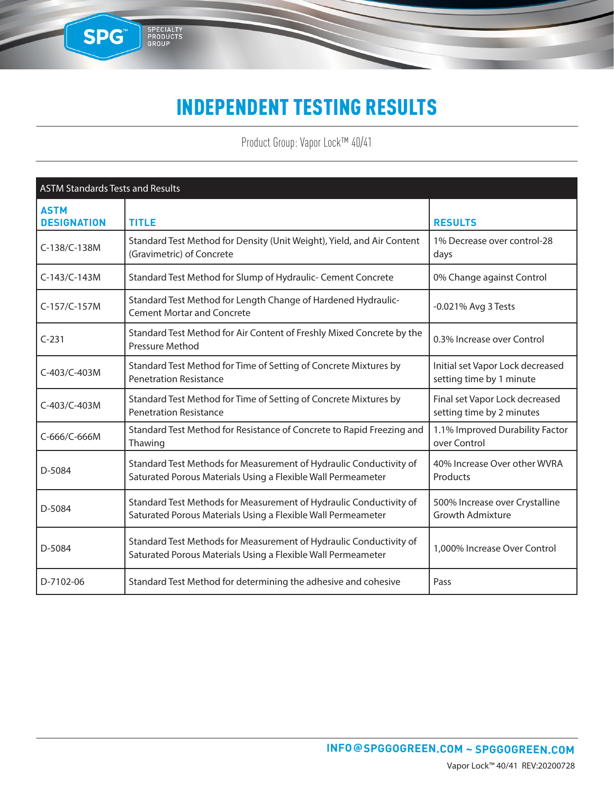#### INDEPENDENT TESTING RESULTS

SPG

SPECIALTY<br>PRODUCTS<br>GROUP

Product Group: Vapor Lock™ 40/41

| <b>ASTM Standards Tests and Results</b> |                                                                                                                                    |                                                              |
|-----------------------------------------|------------------------------------------------------------------------------------------------------------------------------------|--------------------------------------------------------------|
| <b>ASTM</b><br><b>DESIGNATION</b>       | <b>TITLE</b>                                                                                                                       | <b>RESULTS</b>                                               |
| C-138/C-138M                            | Standard Test Method for Density (Unit Weight), Yield, and Air Content<br>(Gravimetric) of Concrete                                | 1% Decrease over control-28<br>days                          |
| $C-143/C-143M$                          | Standard Test Method for Slump of Hydraulic- Cement Concrete                                                                       | 0% Change against Control                                    |
| C-157/C-157M                            | Standard Test Method for Length Change of Hardened Hydraulic-<br><b>Cement Mortar and Concrete</b>                                 | -0.021% Avg 3 Tests                                          |
| $C-231$                                 | Standard Test Method for Air Content of Freshly Mixed Concrete by the<br>Pressure Method                                           | 0.3% Increase over Control                                   |
| C-403/C-403M                            | Standard Test Method for Time of Setting of Concrete Mixtures by<br><b>Penetration Resistance</b>                                  | Initial set Vapor Lock decreased<br>setting time by 1 minute |
| C-403/C-403M                            | Standard Test Method for Time of Setting of Concrete Mixtures by<br><b>Penetration Resistance</b>                                  | Final set Vapor Lock decreased<br>setting time by 2 minutes  |
| C-666/C-666M                            | Standard Test Method for Resistance of Concrete to Rapid Freezing and<br>Thawing                                                   | 1.1% Improved Durability Factor<br>over Control              |
| D-5084                                  | Standard Test Methods for Measurement of Hydraulic Conductivity of<br>Saturated Porous Materials Using a Flexible Wall Permeameter | 40% Increase Over other WVRA<br>Products                     |
| D-5084                                  | Standard Test Methods for Measurement of Hydraulic Conductivity of<br>Saturated Porous Materials Using a Flexible Wall Permeameter | 500% Increase over Crystalline<br><b>Growth Admixture</b>    |
| D-5084                                  | Standard Test Methods for Measurement of Hydraulic Conductivity of<br>Saturated Porous Materials Using a Flexible Wall Permeameter | 1,000% Increase Over Control                                 |
| D-7102-06                               | Standard Test Method for determining the adhesive and cohesive                                                                     | Pass                                                         |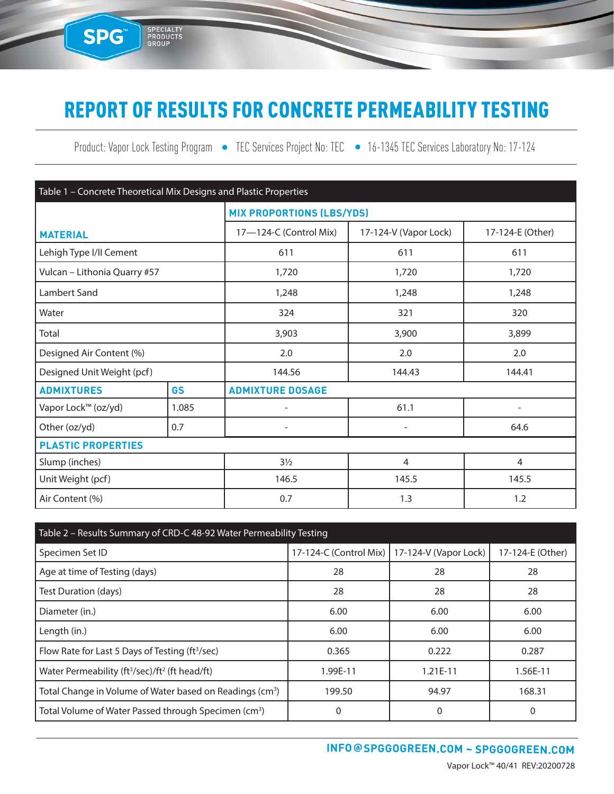## REPORT OF RESULTS FOR CONCRETE PERMEABILITY TESTING

SPG<sup>®</sup>

SPECIALTY<br>PRODUCTS<br>GROUP

Product: Vapor Lock Testing Program • TEC Services Project No: TEC • 16-1345 TEC Services Laboratory No: 17-124

| Table 1 - Concrete Theoretical Mix Designs and Plastic Properties |           |                                  |                          |                          |  |  |
|-------------------------------------------------------------------|-----------|----------------------------------|--------------------------|--------------------------|--|--|
|                                                                   |           | <b>MIX PROPORTIONS (LBS/YDS)</b> |                          |                          |  |  |
| <b>MATERIAL</b>                                                   |           | 17-124-C (Control Mix)           | 17-124-V (Vapor Lock)    | 17-124-E (Other)         |  |  |
| Lehigh Type I/II Cement                                           |           | 611                              | 611                      | 611                      |  |  |
| Vulcan - Lithonia Quarry #57                                      |           | 1,720                            | 1,720                    | 1,720                    |  |  |
| Lambert Sand                                                      |           | 1,248                            | 1,248                    | 1,248                    |  |  |
| Water                                                             |           | 324                              | 321                      | 320                      |  |  |
| Total                                                             |           | 3,903<br>3,900                   |                          | 3,899                    |  |  |
| Designed Air Content (%)                                          |           | 2.0                              | 2.0                      | 2.0                      |  |  |
| Designed Unit Weight (pcf)                                        |           | 144.56                           | 144.43<br>144.41         |                          |  |  |
| <b>ADMIXTURES</b>                                                 | <b>GS</b> | <b>ADMIXTURE DOSAGE</b>          |                          |                          |  |  |
| Vapor Lock™ (oz/yd)                                               | 1.085     |                                  | 61.1                     | $\overline{\phantom{0}}$ |  |  |
| Other (oz/yd)                                                     | 0.7       | $\overline{\phantom{a}}$         | $\overline{\phantom{a}}$ |                          |  |  |
| <b>PLASTIC PROPERTIES</b>                                         |           |                                  |                          |                          |  |  |
| Slump (inches)                                                    |           | $3\frac{1}{2}$                   | $\overline{4}$           | $\overline{4}$           |  |  |
| Unit Weight (pcf)                                                 |           | 146.5                            | 145.5                    |                          |  |  |
| Air Content (%)                                                   |           | 0.7                              | 1.3                      | 1.2                      |  |  |

| Table 2 - Results Summary of CRD-C 48-92 Water Permeability Testing    |                                                |            |                  |  |  |  |
|------------------------------------------------------------------------|------------------------------------------------|------------|------------------|--|--|--|
| Specimen Set ID                                                        | 17-124-C (Control Mix)   17-124-V (Vapor Lock) |            | 17-124-E (Other) |  |  |  |
| Age at time of Testing (days)                                          | 28                                             | 28         | 28               |  |  |  |
| Test Duration (days)                                                   | 28                                             | 28         | 28               |  |  |  |
| Diameter (in.)                                                         | 6.00                                           | 6.00       | 6.00             |  |  |  |
| Length (in.)                                                           | 6.00                                           | 6.00       | 6.00             |  |  |  |
| Flow Rate for Last 5 Days of Testing (ft <sup>3</sup> /sec)            | 0.365                                          | 0.222      | 0.287            |  |  |  |
| Water Permeability (ft <sup>3</sup> /sec)/ft <sup>2</sup> (ft head/ft) | 1.99E-11                                       | $1.21E-11$ | 1.56E-11         |  |  |  |
| Total Change in Volume of Water based on Readings (cm <sup>3</sup> )   | 199.50                                         | 94.97      | 168.31           |  |  |  |
| Total Volume of Water Passed through Specimen (cm <sup>3</sup> )       |                                                | $\Omega$   | 0                |  |  |  |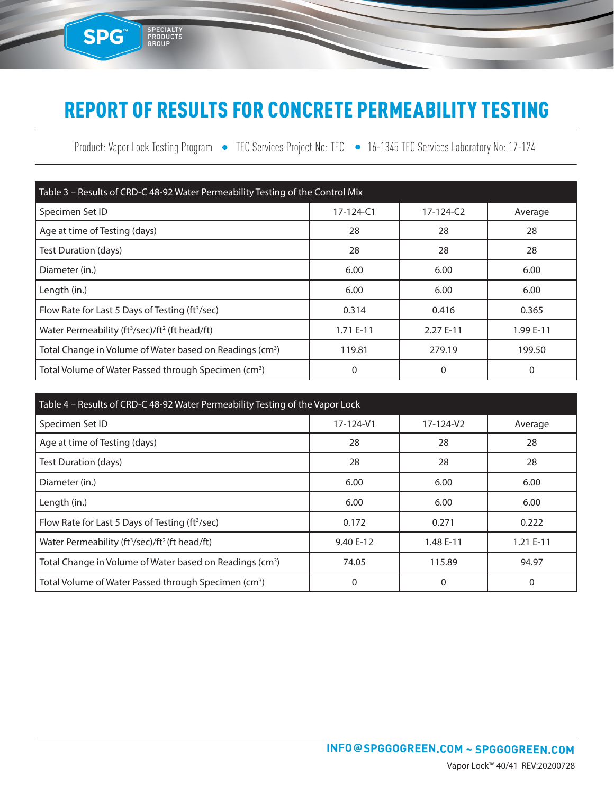### REPORT OF RESULTS FOR CONCRETE PERMEABILITY TESTING

SPG<sup>®</sup>

SPECIALTY<br>PRODUCTS<br>GROUP

Product: Vapor Lock Testing Program • TEC Services Project No: TEC • 16-1345 TEC Services Laboratory No: 17-124

| Table 3 - Results of CRD-C 48-92 Water Permeability Testing of the Control Mix |                 |             |           |  |  |  |
|--------------------------------------------------------------------------------|-----------------|-------------|-----------|--|--|--|
| Specimen Set ID                                                                | $17 - 124 - C1$ | $17-124-C2$ | Average   |  |  |  |
| Age at time of Testing (days)                                                  | 28              | 28          | 28        |  |  |  |
| Test Duration (days)                                                           | 28              | 28          | 28        |  |  |  |
| Diameter (in.)                                                                 | 6.00            | 6.00        | 6.00      |  |  |  |
| Length (in.)                                                                   | 6.00            | 6.00        | 6.00      |  |  |  |
| Flow Rate for Last 5 Days of Testing (ft <sup>3</sup> /sec)                    | 0.314           | 0.416       | 0.365     |  |  |  |
| Water Permeability (ft <sup>3</sup> /sec)/ft <sup>2</sup> (ft head/ft)         | 1.71 E-11       | 2.27 E-11   | 1.99 E-11 |  |  |  |
| Total Change in Volume of Water based on Readings (cm <sup>3</sup> )           | 119.81          | 279.19      | 199.50    |  |  |  |
| Total Volume of Water Passed through Specimen (cm <sup>3</sup> )               | 0               | 0           | 0         |  |  |  |

| Table 4 - Results of CRD-C 48-92 Water Permeability Testing of the Vapor Lock |           |           |            |  |  |  |
|-------------------------------------------------------------------------------|-----------|-----------|------------|--|--|--|
| Specimen Set ID                                                               | 17-124-V1 | 17-124-V2 | Average    |  |  |  |
| Age at time of Testing (days)                                                 | 28        | 28        | 28         |  |  |  |
| Test Duration (days)                                                          | 28        | 28        | 28         |  |  |  |
| Diameter (in.)                                                                | 6.00      | 6.00      | 6.00       |  |  |  |
| Length (in.)                                                                  | 6.00      | 6.00      | 6.00       |  |  |  |
| Flow Rate for Last 5 Days of Testing (ft <sup>3</sup> /sec)                   | 0.172     | 0.271     | 0.222      |  |  |  |
| Water Permeability (ft <sup>3</sup> /sec)/ft <sup>2</sup> (ft head/ft)        | 9.40 E-12 | 1.48 E-11 | $1.21E-11$ |  |  |  |
| Total Change in Volume of Water based on Readings (cm <sup>3</sup> )          | 74.05     | 115.89    | 94.97      |  |  |  |
| Total Volume of Water Passed through Specimen (cm <sup>3</sup> )              | 0         | 0         | 0          |  |  |  |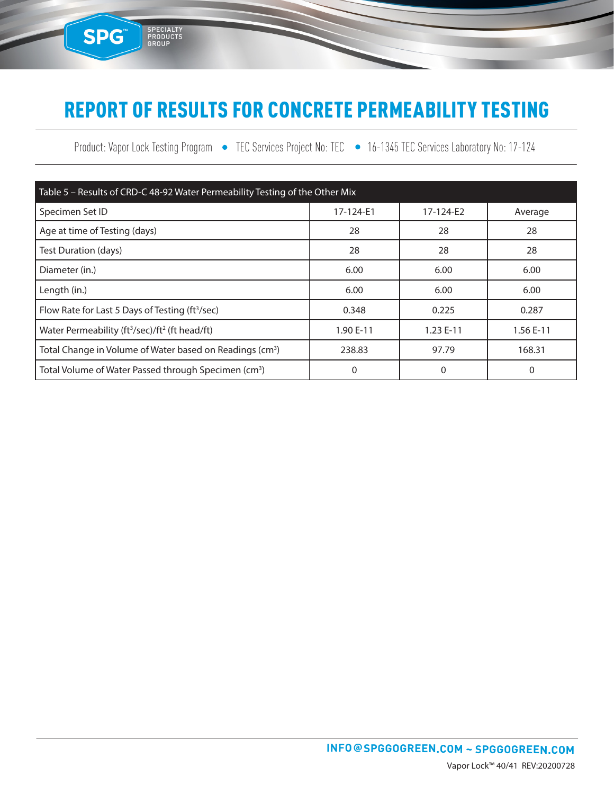# REPORT OF RESULTS FOR CONCRETE PERMEABILITY TESTING

SPG<sup>®</sup>

SPECIALTY<br>PRODUCTS<br>GROUP

Product: Vapor Lock Testing Program • TEC Services Project No: TEC • 16-1345 TEC Services Laboratory No: 17-124

| Table 5 - Results of CRD-C 48-92 Water Permeability Testing of the Other Mix |           |           |           |  |  |  |
|------------------------------------------------------------------------------|-----------|-----------|-----------|--|--|--|
| Specimen Set ID                                                              | 17-124-E1 | 17-124-E2 | Average   |  |  |  |
| Age at time of Testing (days)                                                | 28        | 28        | 28        |  |  |  |
| Test Duration (days)                                                         | 28        | 28        | 28        |  |  |  |
| Diameter (in.)                                                               | 6.00      | 6.00      | 6.00      |  |  |  |
| Length (in.)                                                                 | 6.00      | 6.00      | 6.00      |  |  |  |
| Flow Rate for Last 5 Days of Testing (ft <sup>3</sup> /sec)                  | 0.348     | 0.225     | 0.287     |  |  |  |
| Water Permeability (ft <sup>3</sup> /sec)/ft <sup>2</sup> (ft head/ft)       | 1.90 E-11 | 1.23 E-11 | 1.56 E-11 |  |  |  |
| Total Change in Volume of Water based on Readings (cm <sup>3</sup> )         | 238.83    | 97.79     | 168.31    |  |  |  |
| Total Volume of Water Passed through Specimen (cm <sup>3</sup> )             | 0         | 0         | 0         |  |  |  |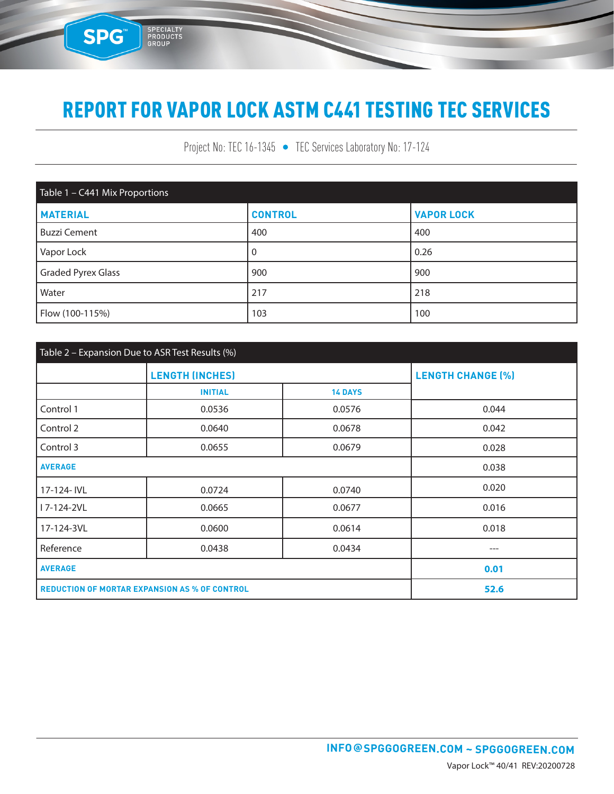SPG

SPECIALTY<br>PRODUCTS<br>GROUP

Project No: TEC 16-1345 • TEC Services Laboratory No: 17-124

| Table 1 - C441 Mix Proportions |                |                   |  |  |  |
|--------------------------------|----------------|-------------------|--|--|--|
| <b>MATERIAL</b>                | <b>CONTROL</b> | <b>VAPOR LOCK</b> |  |  |  |
| <b>Buzzi Cement</b>            | 400            | 400               |  |  |  |
| Vapor Lock                     | 0              | 0.26              |  |  |  |
| <b>Graded Pyrex Glass</b>      | 900            | 900               |  |  |  |
| Water                          | 217            | 218               |  |  |  |
| Flow (100-115%)                | 103            | 100               |  |  |  |

| Table 2 - Expansion Due to ASR Test Results (%)      |                        |                |                          |  |  |
|------------------------------------------------------|------------------------|----------------|--------------------------|--|--|
|                                                      | <b>LENGTH (INCHES)</b> |                | <b>LENGTH CHANGE (%)</b> |  |  |
|                                                      | <b>INITIAL</b>         | <b>14 DAYS</b> |                          |  |  |
| Control 1                                            | 0.0536                 | 0.0576         | 0.044                    |  |  |
| Control 2                                            | 0.0640                 | 0.0678         | 0.042                    |  |  |
| Control 3                                            | 0.0655                 | 0.0679         | 0.028                    |  |  |
| <b>AVERAGE</b>                                       |                        |                | 0.038                    |  |  |
| 17-124- IVL                                          | 0.0724                 | 0.0740         | 0.020                    |  |  |
| I 7-124-2VL                                          | 0.0665                 | 0.0677         | 0.016                    |  |  |
| 17-124-3VL                                           | 0.0600                 | 0.0614         | 0.018                    |  |  |
| Reference                                            | 0.0438                 | 0.0434         |                          |  |  |
| <b>AVERAGE</b>                                       |                        |                | 0.01                     |  |  |
| <b>REDUCTION OF MORTAR EXPANSION AS % OF CONTROL</b> |                        |                | 52.6                     |  |  |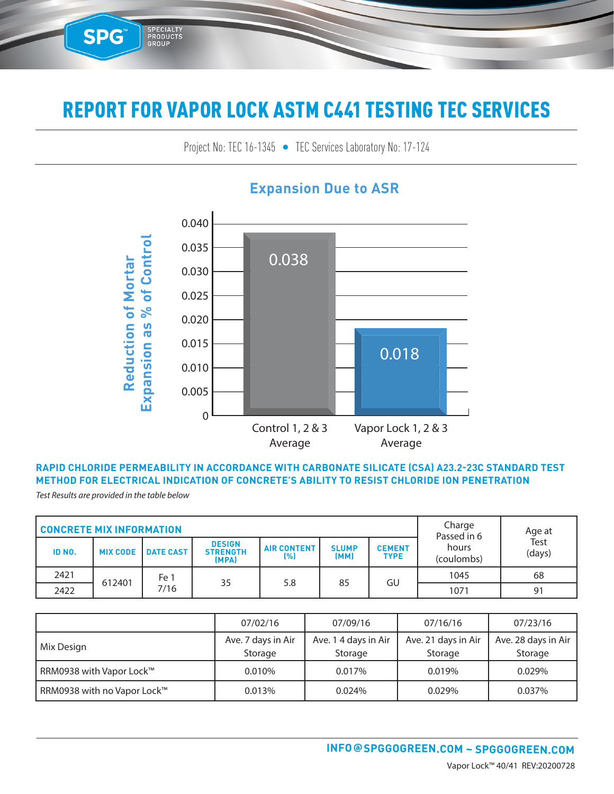Project No: TEC 16-1345 • TEC Services Laboratory No: 17-124 TEC SENICES LADORATORY NO: 17-124



#### **Expansion Due to ASR**

#### **RAPID CHLORIDE PERMEABILITY IN ACCORDANCE WITH CARBONATE SILICATE (CSA) A23.2-23C STANDARD TEST METHOD FOR ELECTRICAL INDICATION OF CONCRETE'S ABILITY TO RESIST CHLORIDE ION PENETRATION**

*Test Results are provided in the table below*

SPG™

3E-09

5E-09

SPECIALTY<br>PRODUCTS<br>GROUP

6E-09

| <b>CONCRETE MIX INFORMATION</b> |                 |                      |                                           |                           | Charge<br>Passed in 6 | Age at                       |                     |                |
|---------------------------------|-----------------|----------------------|-------------------------------------------|---------------------------|-----------------------|------------------------------|---------------------|----------------|
| ID NO.                          | <b>MIX CODE</b> | <b>I DATE CAST I</b> | <b>DESIGN</b><br><b>STRENGTH</b><br>(MPA) | <b>AIR CONTENT</b><br>(%) | <b>SLUMP</b><br>(MM)  | <b>CEMENT</b><br><b>TYPE</b> | hours<br>(coulombs) | Test<br>(days) |
| 2421                            |                 | Fe 1                 |                                           |                           |                       |                              | 1045                | 68             |
| 2422                            | 612401          | 7/16                 | 35                                        | 5.8                       | 85                    | GU                           | 1071                | 91             |

|                             | 07/02/16                      | 07/09/16                        | 07/16/16                       | 07/23/16                       |
|-----------------------------|-------------------------------|---------------------------------|--------------------------------|--------------------------------|
| Mix Design                  | Ave. 7 days in Air<br>Storage | Ave. 1 4 days in Air<br>Storage | Ave. 21 days in Air<br>Storage | Ave. 28 days in Air<br>Storage |
| RRM0938 with Vapor Lock™    | 0.010%                        | 0.017%                          | 0.019%                         | 0.029%                         |
| RRM0938 with no Vapor Lock™ | 0.013%                        | 0.024%                          | 0.029%                         | 0.037%                         |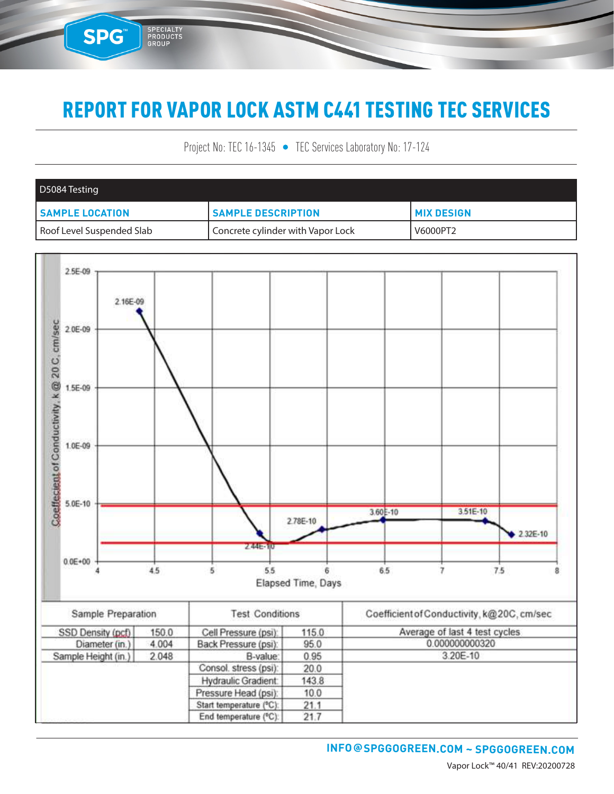SPG™

SPECIALTY<br>PRODUCTS<br>GROUP

Project No: TEC 16-1345 • TEC Services Laboratory No: 17-124

| D5084 Testing             |                                   |                     |
|---------------------------|-----------------------------------|---------------------|
| <b>SAMPLE LOCATION</b>    | <b>SAMPLE DESCRIPTION</b>         | <b>I MIX DESIGN</b> |
| Roof Level Suspended Slab | Concrete cylinder with Vapor Lock | V6000PT2            |

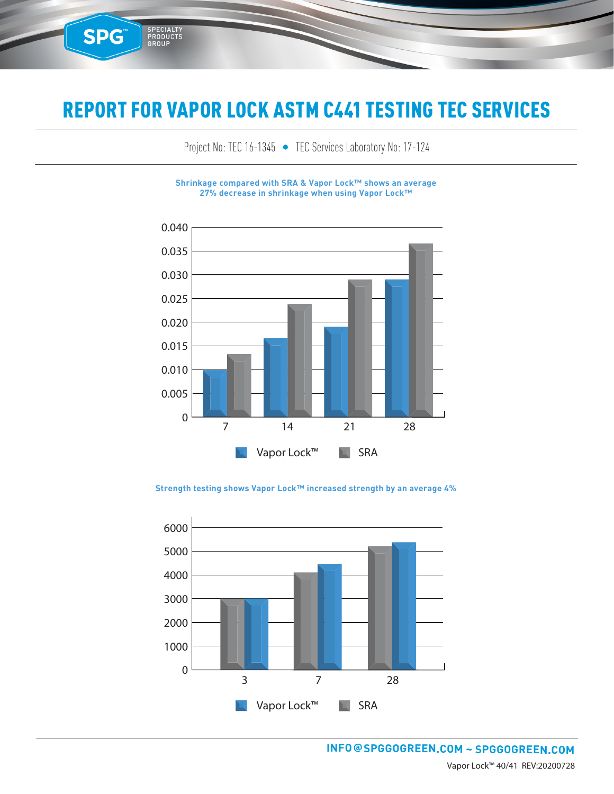**SPG™** 

SPECIALTY<br>PRODUCTS<br>GROUP

Project No: TEC 16-1345 • TEC Services Laboratory No: 17-124

**Shrinkage compared with SRA & Vapor Lock™ shows an average 27% decrease in shrinkage when using Vapor Lock™**



0.040 **Strength testing shows Vapor Lock™ increased strength by an average 4%**